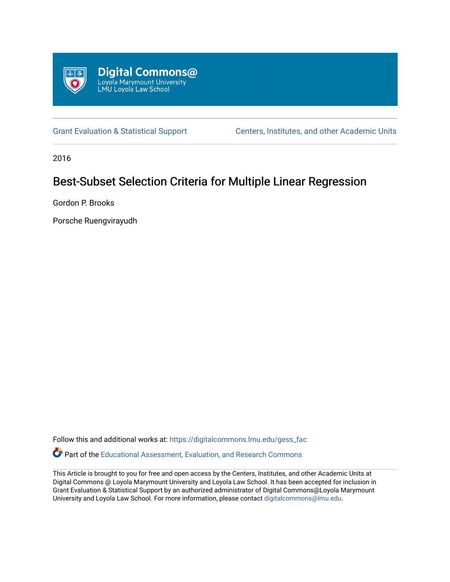

[Grant Evaluation & Statistical Support](https://digitalcommons.lmu.edu/gess_fac) [Centers, Institutes, and other Academic Units](https://digitalcommons.lmu.edu/cia) 

2016

# Best-Subset Selection Criteria for Multiple Linear Regression

Gordon P. Brooks

Porsche Ruengvirayudh

Follow this and additional works at: [https://digitalcommons.lmu.edu/gess\\_fac](https://digitalcommons.lmu.edu/gess_fac?utm_source=digitalcommons.lmu.edu%2Fgess_fac%2F2&utm_medium=PDF&utm_campaign=PDFCoverPages) 

Part of the [Educational Assessment, Evaluation, and Research Commons](http://network.bepress.com/hgg/discipline/796?utm_source=digitalcommons.lmu.edu%2Fgess_fac%2F2&utm_medium=PDF&utm_campaign=PDFCoverPages)

This Article is brought to you for free and open access by the Centers, Institutes, and other Academic Units at Digital Commons @ Loyola Marymount University and Loyola Law School. It has been accepted for inclusion in Grant Evaluation & Statistical Support by an authorized administrator of Digital Commons@Loyola Marymount University and Loyola Law School. For more information, please contact [digitalcommons@lmu.edu.](mailto:digitalcommons@lmu.edu)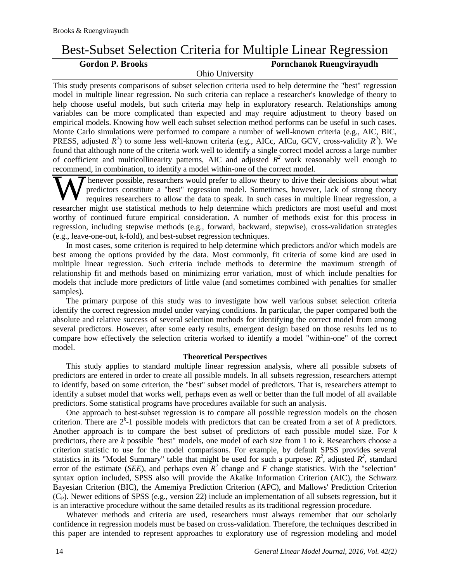## Best-Subset Selection Criteria for Multiple Linear Regression

## **Gordon P. Brooks Pornchanok Ruengvirayudh**

Ohio University

This study presents comparisons of subset selection criteria used to help determine the "best" regression model in multiple linear regression. No such criteria can replace a researcher's knowledge of theory to help choose useful models, but such criteria may help in exploratory research. Relationships among variables can be more complicated than expected and may require adjustment to theory based on empirical models. Knowing how well each subset selection method performs can be useful in such cases. Monte Carlo simulations were performed to compare a number of well-known criteria (e.g., AIC, BIC, PRESS, adjusted  $R^2$ ) to some less well-known criteria (e.g., AICc, AICu, GCV, cross-validity  $R^2$ ). We found that although none of the criteria work well to identify a single correct model across a large number of coefficient and multicollinearity patterns, AIC and adjusted  $R^2$  work reasonably well enough to recommend, in combination, to identify a model within-one of the correct model.

henever possible, researchers would prefer to allow theory to drive their decisions about what predictors constitute a "best" regression model. Sometimes, however, lack of strong theory requires researchers to allow the data to speak. In such cases in multiple linear regression, a researcher might use statistical methods to help determine which predictors are most useful and most worthy of continued future empirical consideration. A number of methods exist for this process in regression, including stepwise methods (e.g., forward, backward, stepwise), cross-validation strategies (e.g., leave-one-out, k-fold), and best-subset regression techniques. W

In most cases, some criterion is required to help determine which predictors and/or which models are best among the options provided by the data. Most commonly, fit criteria of some kind are used in multiple linear regression. Such criteria include methods to determine the maximum strength of relationship fit and methods based on minimizing error variation, most of which include penalties for models that include more predictors of little value (and sometimes combined with penalties for smaller samples).

The primary purpose of this study was to investigate how well various subset selection criteria identify the correct regression model under varying conditions. In particular, the paper compared both the absolute and relative success of several selection methods for identifying the correct model from among several predictors. However, after some early results, emergent design based on those results led us to compare how effectively the selection criteria worked to identify a model "within-one" of the correct model.

### **Theoretical Perspectives**

This study applies to standard multiple linear regression analysis, where all possible subsets of predictors are entered in order to create all possible models. In all subsets regression, researchers attempt to identify, based on some criterion, the "best" subset model of predictors. That is, researchers attempt to identify a subset model that works well, perhaps even as well or better than the full model of all available predictors. Some statistical programs have procedures available for such an analysis.

One approach to best-subset regression is to compare all possible regression models on the chosen criterion. There are  $2^k$ -1 possible models with predictors that can be created from a set of  $k$  predictors. Another approach is to compare the best subset of predictors of each possible model size. For *k* predictors, there are *k* possible "best" models, one model of each size from 1 to *k*. Researchers choose a criterion statistic to use for the model comparisons. For example, by default SPSS provides several statistics in its "Model Summary" table that might be used for such a purpose:  $R^2$ , adjusted  $R^2$ , standard error of the estimate (*SEE*), and perhaps even  $R^2$  change and *F* change statistics. With the "selection" syntax option included, SPSS also will provide the Akaike Information Criterion (AIC), the Schwarz Bayesian Criterion (BIC), the Amemiya Prediction Criterion (APC), and Mallows' Prediction Criterion  $(C_P)$ . Newer editions of SPSS (e.g., version 22) include an implementation of all subsets regression, but it is an interactive procedure without the same detailed results as its traditional regression procedure.

Whatever methods and criteria are used, researchers must always remember that our scholarly confidence in regression models must be based on cross-validation. Therefore, the techniques described in this paper are intended to represent approaches to exploratory use of regression modeling and model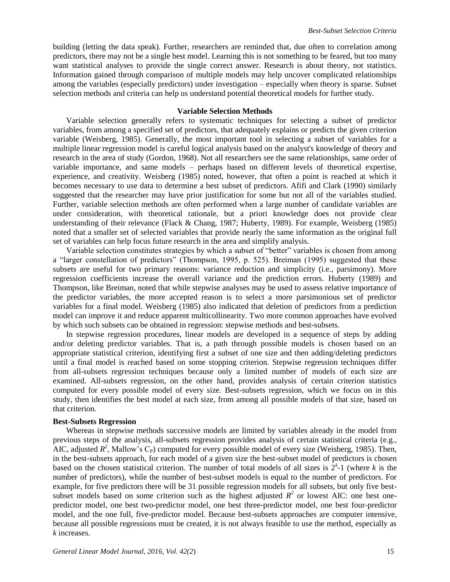building (letting the data speak). Further, researchers are reminded that, due often to correlation among predictors, there may not be a single best model. Learning this is not something to be feared, but too many want statistical analyses to provide the single correct answer. Research is about theory, not statistics. Information gained through comparison of multiple models may help uncover complicated relationships among the variables (especially predictors) under investigation – especially when theory is sparse. Subset selection methods and criteria can help us understand potential theoretical models for further study.

#### **Variable Selection Methods**

Variable selection generally refers to systematic techniques for selecting a subset of predictor variables, from among a specified set of predictors, that adequately explains or predicts the given criterion variable (Weisberg, 1985). Generally, the most important tool in selecting a subset of variables for a multiple linear regression model is careful logical analysis based on the analyst's knowledge of theory and research in the area of study (Gordon, 1968). Not all researchers see the same relationships, same order of variable importance, and same models – perhaps based on different levels of theoretical expertise, experience, and creativity. Weisberg (1985) noted, however, that often a point is reached at which it becomes necessary to use data to determine a best subset of predictors. Afifi and Clark (1990) similarly suggested that the researcher may have prior justification for some but not all of the variables studied. Further, variable selection methods are often performed when a large number of candidate variables are under consideration, with theoretical rationale, but a priori knowledge does not provide clear understanding of their relevance (Flack & Chang, 1987; Huberty, 1989). For example, Weisberg (1985) noted that a smaller set of selected variables that provide nearly the same information as the original full set of variables can help focus future research in the area and simplify analysis.

Variable selection constitutes strategies by which a subset of "better" variables is chosen from among a "larger constellation of predictors" (Thompson, 1995, p. 525). Breiman (1995) suggested that these subsets are useful for two primary reasons: variance reduction and simplicity (i.e., parsimony). More regression coefficients increase the overall variance and the prediction errors. Huberty (1989) and Thompson, like Breiman, noted that while stepwise analyses may be used to assess relative importance of the predictor variables, the more accepted reason is to select a more parsimonious set of predictor variables for a final model. Weisberg (1985) also indicated that deletion of predictors from a prediction model can improve it and reduce apparent multicollinearity. Two more common approaches have evolved by which such subsets can be obtained in regression: stepwise methods and best-subsets.

In stepwise regression procedures, linear models are developed in a sequence of steps by adding and/or deleting predictor variables. That is, a path through possible models is chosen based on an appropriate statistical criterion, identifying first a subset of one size and then adding/deleting predictors until a final model is reached based on some stopping criterion. Stepwise regression techniques differ from all-subsets regression techniques because only a limited number of models of each size are examined. All-subsets regression, on the other hand, provides analysis of certain criterion statistics computed for every possible model of every size. Best-subsets regression, which we focus on in this study, then identifies the best model at each size, from among all possible models of that size, based on that criterion.

### **Best-Subsets Regression**

Whereas in stepwise methods successive models are limited by variables already in the model from previous steps of the analysis, all-subsets regression provides analysis of certain statistical criteria (e.g., AIC, adjusted  $R^2$ , Mallow's C<sub>P</sub>) computed for every possible model of every size (Weisberg, 1985). Then, in the best-subsets approach, for each model of a given size the best-subset model of predictors is chosen based on the chosen statistical criterion. The number of total models of all sizes is  $2^k-1$  (where k is the number of predictors), while the number of best-subset models is equal to the number of predictors. For example, for five predictors there will be 31 possible regression models for all subsets, but only five bestsubset models based on some criterion such as the highest adjusted  $R^2$  or lowest AIC: one best onepredictor model, one best two-predictor model, one best three-predictor model, one best four-predictor model, and the one full, five-predictor model. Because best-subsets approaches are computer intensive, because all possible regressions must be created, it is not always feasible to use the method, especially as *k* increases.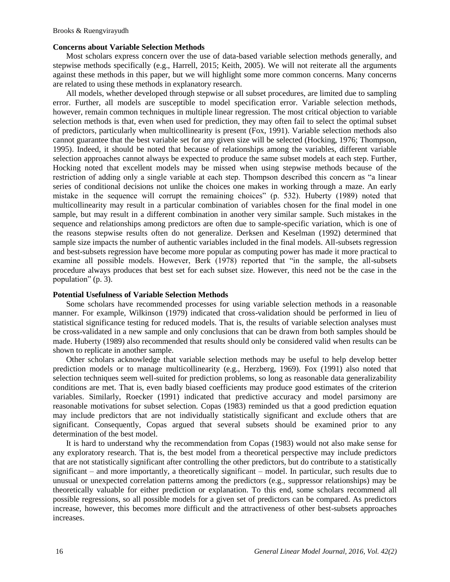#### **Concerns about Variable Selection Methods**

Most scholars express concern over the use of data-based variable selection methods generally, and stepwise methods specifically (e.g., Harrell, 2015; Keith, 2005). We will not reiterate all the arguments against these methods in this paper, but we will highlight some more common concerns. Many concerns are related to using these methods in explanatory research.

All models, whether developed through stepwise or all subset procedures, are limited due to sampling error. Further, all models are susceptible to model specification error. Variable selection methods, however, remain common techniques in multiple linear regression. The most critical objection to variable selection methods is that, even when used for prediction, they may often fail to select the optimal subset of predictors, particularly when multicollinearity is present (Fox, 1991). Variable selection methods also cannot guarantee that the best variable set for any given size will be selected (Hocking, 1976; Thompson, 1995). Indeed, it should be noted that because of relationships among the variables, different variable selection approaches cannot always be expected to produce the same subset models at each step. Further, Hocking noted that excellent models may be missed when using stepwise methods because of the restriction of adding only a single variable at each step. Thompson described this concern as "a linear series of conditional decisions not unlike the choices one makes in working through a maze. An early mistake in the sequence will corrupt the remaining choices" (p. 532). Huberty (1989) noted that multicollinearity may result in a particular combination of variables chosen for the final model in one sample, but may result in a different combination in another very similar sample. Such mistakes in the sequence and relationships among predictors are often due to sample-specific variation, which is one of the reasons stepwise results often do not generalize. Derksen and Keselman (1992) determined that sample size impacts the number of authentic variables included in the final models. All-subsets regression and best-subsets regression have become more popular as computing power has made it more practical to examine all possible models. However, Berk (1978) reported that "in the sample, the all-subsets procedure always produces that best set for each subset size. However, this need not be the case in the population" (p. 3).

#### **Potential Usefulness of Variable Selection Methods**

Some scholars have recommended processes for using variable selection methods in a reasonable manner. For example, Wilkinson (1979) indicated that cross-validation should be performed in lieu of statistical significance testing for reduced models. That is, the results of variable selection analyses must be cross-validated in a new sample and only conclusions that can be drawn from both samples should be made. Huberty (1989) also recommended that results should only be considered valid when results can be shown to replicate in another sample.

Other scholars acknowledge that variable selection methods may be useful to help develop better prediction models or to manage multicollinearity (e.g., Herzberg, 1969). Fox (1991) also noted that selection techniques seem well-suited for prediction problems, so long as reasonable data generalizability conditions are met. That is, even badly biased coefficients may produce good estimates of the criterion variables. Similarly, Roecker (1991) indicated that predictive accuracy and model parsimony are reasonable motivations for subset selection. Copas (1983) reminded us that a good prediction equation may include predictors that are not individually statistically significant and exclude others that are significant. Consequently, Copas argued that several subsets should be examined prior to any determination of the best model.

It is hard to understand why the recommendation from Copas (1983) would not also make sense for any exploratory research. That is, the best model from a theoretical perspective may include predictors that are not statistically significant after controlling the other predictors, but do contribute to a statistically significant – and more importantly, a theoretically significant – model. In particular, such results due to unusual or unexpected correlation patterns among the predictors (e.g., suppressor relationships) may be theoretically valuable for either prediction or explanation. To this end, some scholars recommend all possible regressions, so all possible models for a given set of predictors can be compared. As predictors increase, however, this becomes more difficult and the attractiveness of other best-subsets approaches increases.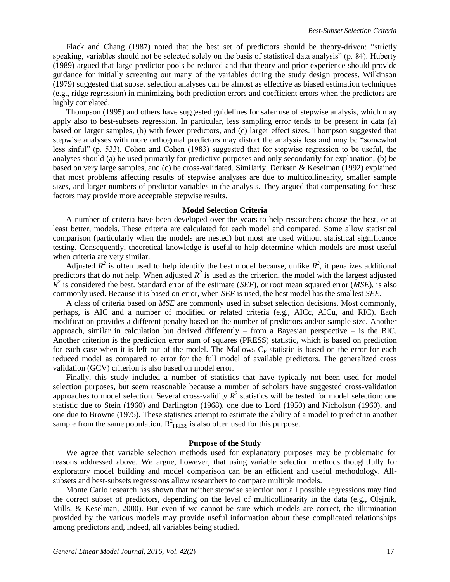Flack and Chang (1987) noted that the best set of predictors should be theory-driven: "strictly speaking, variables should not be selected solely on the basis of statistical data analysis" (p. 84). Huberty (1989) argued that large predictor pools be reduced and that theory and prior experience should provide guidance for initially screening out many of the variables during the study design process. Wilkinson (1979) suggested that subset selection analyses can be almost as effective as biased estimation techniques (e.g., ridge regression) in minimizing both prediction errors and coefficient errors when the predictors are highly correlated.

Thompson (1995) and others have suggested guidelines for safer use of stepwise analysis, which may apply also to best-subsets regression. In particular, less sampling error tends to be present in data (a) based on larger samples, (b) with fewer predictors, and (c) larger effect sizes. Thompson suggested that stepwise analyses with more orthogonal predictors may distort the analysis less and may be "somewhat less sinful" (p. 533). Cohen and Cohen (1983) suggested that for stepwise regression to be useful, the analyses should (a) be used primarily for predictive purposes and only secondarily for explanation, (b) be based on very large samples, and (c) be cross-validated. Similarly, Derksen & Keselman (1992) explained that most problems affecting results of stepwise analyses are due to multicollinearity, smaller sample sizes, and larger numbers of predictor variables in the analysis. They argued that compensating for these factors may provide more acceptable stepwise results.

#### **Model Selection Criteria**

A number of criteria have been developed over the years to help researchers choose the best, or at least better, models. These criteria are calculated for each model and compared. Some allow statistical comparison (particularly when the models are nested) but most are used without statistical significance testing. Consequently, theoretical knowledge is useful to help determine which models are most useful when criteria are very similar.

Adjusted  $R^2$  is often used to help identify the best model because, unlike  $R^2$ , it penalizes additional predictors that do not help. When adjusted  $R^2$  is used as the criterion, the model with the largest adjusted  $\hat{R}^2$  is considered the best. Standard error of the estimate (*SEE*), or root mean squared error (*MSE*), is also commonly used. Because it is based on error, when *SEE* is used, the best model has the smallest *SEE*.

A class of criteria based on *MSE* are commonly used in subset selection decisions. Most commonly, perhaps, is AIC and a number of modified or related criteria (e.g., AICc, AICu, and RIC). Each modification provides a different penalty based on the number of predictors and/or sample size. Another approach, similar in calculation but derived differently – from a Bayesian perspective – is the BIC. Another criterion is the prediction error sum of squares (PRESS) statistic, which is based on prediction for each case when it is left out of the model. The Mallows C<sub>P</sub> statistic is based on the error for each reduced model as compared to error for the full model of available predictors. The generalized cross validation (GCV) criterion is also based on model error.

Finally, this study included a number of statistics that have typically not been used for model selection purposes, but seem reasonable because a number of scholars have suggested cross-validation approaches to model selection. Several cross-validity  $R^2$  statistics will be tested for model selection: one statistic due to Stein (1960) and Darlington (1968), one due to Lord (1950) and Nicholson (1960), and one due to Browne (1975). These statistics attempt to estimate the ability of a model to predict in another sample from the same population.  $R^2$ <sub>PRESS</sub> is also often used for this purpose.

#### **Purpose of the Study**

We agree that variable selection methods used for explanatory purposes may be problematic for reasons addressed above. We argue, however, that using variable selection methods thoughtfully for exploratory model building and model comparison can be an efficient and useful methodology. Allsubsets and best-subsets regressions allow researchers to compare multiple models.

Monte Carlo research has shown that neither stepwise selection nor all possible regressions may find the correct subset of predictors, depending on the level of multicollinearity in the data (e.g., Olejnik, Mills, & Keselman, 2000). But even if we cannot be sure which models are correct, the illumination provided by the various models may provide useful information about these complicated relationships among predictors and, indeed, all variables being studied.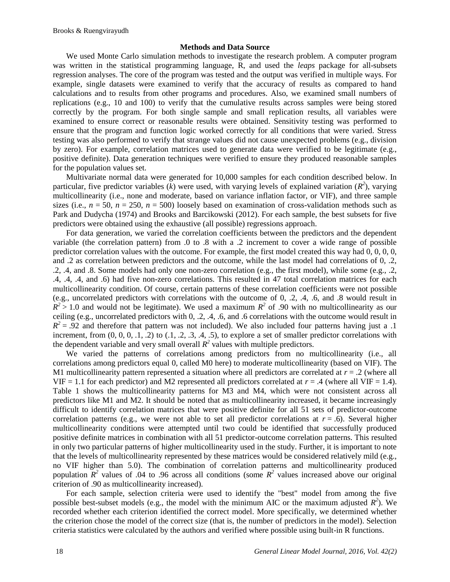#### **Methods and Data Source**

We used Monte Carlo simulation methods to investigate the research problem. A computer program was written in the statistical programming language, R, and used the *leaps* package for all-subsets regression analyses. The core of the program was tested and the output was verified in multiple ways. For example, single datasets were examined to verify that the accuracy of results as compared to hand calculations and to results from other programs and procedures. Also, we examined small numbers of replications (e.g., 10 and 100) to verify that the cumulative results across samples were being stored correctly by the program. For both single sample and small replication results, all variables were examined to ensure correct or reasonable results were obtained. Sensitivity testing was performed to ensure that the program and function logic worked correctly for all conditions that were varied. Stress testing was also performed to verify that strange values did not cause unexpected problems (e.g., division by zero). For example, correlation matrices used to generate data were verified to be legitimate (e.g., positive definite). Data generation techniques were verified to ensure they produced reasonable samples for the population values set.

Multivariate normal data were generated for 10,000 samples for each condition described below. In particular, five predictor variables ( $\vec{k}$ ) were used, with varying levels of explained variation ( $R^2$ ), varying multicollinearity (i.e., none and moderate, based on variance inflation factor, or VIF), and three sample sizes (i.e.,  $n = 50$ ,  $n = 250$ ,  $n = 500$ ) loosely based on examination of cross-validation methods such as Park and Dudycha (1974) and Brooks and Barcikowski (2012). For each sample, the best subsets for five predictors were obtained using the exhaustive (all possible) regressions approach.

For data generation, we varied the correlation coefficients between the predictors and the dependent variable (the correlation pattern) from .0 to .8 with a .2 increment to cover a wide range of possible predictor correlation values with the outcome. For example, the first model created this way had 0, 0, 0, 0, and .2 as correlation between predictors and the outcome, while the last model had correlations of 0, .2, .2, .4, and .8. Some models had only one non-zero correlation (e.g., the first model), while some (e.g., .2, .4, .4, .4, and .6) had five non-zero correlations. This resulted in 47 total correlation matrices for each multicollinearity condition. Of course, certain patterns of these correlation coefficients were not possible (e.g., uncorrelated predictors with correlations with the outcome of 0, .2, .4, .6, and .8 would result in  $R^2 > 1.0$  and would not be legitimate). We used a maximum  $R^2$  of .90 with no multicollinearity as our ceiling (e.g., uncorrelated predictors with 0, .2, .4, .6, and .6 correlations with the outcome would result in  $R^2 = .92$  and therefore that pattern was not included). We also included four patterns having just a .1 increment, from  $(0, 0, 0, 0, 1, 0.2)$  to  $(0.1, 0.2, 0.3, 0.4, 0.5)$ , to explore a set of smaller predictor correlations with the dependent variable and very small overall  $R^2$  values with multiple predictors.

We varied the patterns of correlations among predictors from no multicollinearity (i.e., all correlations among predictors equal 0, called M0 here) to moderate multicollinearity (based on VIF). The M1 multicollinearity pattern represented a situation where all predictors are correlated at  $r = .2$  (where all VIF = 1.1 for each predictor) and M2 represented all predictors correlated at  $r = .4$  (where all VIF = 1.4). Table 1 shows the multicollinearity patterns for M3 and M4, which were not consistent across all predictors like M1 and M2. It should be noted that as multicollinearity increased, it became increasingly difficult to identify correlation matrices that were positive definite for all 51 sets of predictor-outcome correlation patterns (e.g., we were not able to set all predictor correlations at  $r = .6$ ). Several higher multicollinearity conditions were attempted until two could be identified that successfully produced positive definite matrices in combination with all 51 predictor-outcome correlation patterns. This resulted in only two particular patterns of higher multicollinearity used in the study. Further, it is important to note that the levels of multicollinearity represented by these matrices would be considered relatively mild (e.g., no VIF higher than 5.0). The combination of correlation patterns and multicollinearity produced population  $\mathbb{R}^2$  values of .04 to .96 across all conditions (some  $\mathbb{R}^2$  values increased above our original criterion of .90 as multicollinearity increased).

For each sample, selection criteria were used to identify the "best" model from among the five possible best-subset models (e.g., the model with the minimum AIC or the maximum adjusted  $R^2$ ). We recorded whether each criterion identified the correct model. More specifically, we determined whether the criterion chose the model of the correct size (that is, the number of predictors in the model). Selection criteria statistics were calculated by the authors and verified where possible using built-in R functions.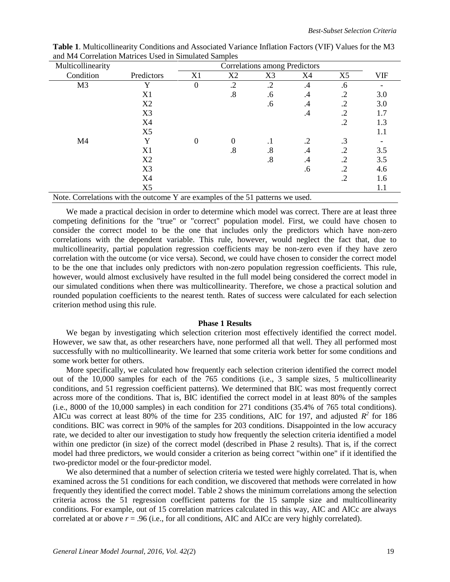| Multicollinearity                                                            |                |                  |            | Correlations among Predictors |            |           |            |
|------------------------------------------------------------------------------|----------------|------------------|------------|-------------------------------|------------|-----------|------------|
| Condition                                                                    | Predictors     | X1               | X2         | X3                            | X4         | X5        | <b>VIF</b> |
| M <sub>3</sub>                                                               | Y              | $\overline{0}$   | $\cdot$ .2 | $\cdot$ .2                    | $\cdot$    | .6        |            |
|                                                                              | X1             |                  | .8         | .6                            | .4         | .2        | 3.0        |
|                                                                              | X2             |                  |            | .6                            | .4         | .2        | 3.0        |
|                                                                              | X3             |                  |            |                               | $\cdot$ 4  | .2        | 1.7        |
|                                                                              | X4             |                  |            |                               |            | .2        | 1.3        |
|                                                                              | X <sub>5</sub> |                  |            |                               |            |           | 1.1        |
| M4                                                                           | Y              | $\boldsymbol{0}$ | $\theta$   | $\cdot$                       | $\cdot$ .2 | $\cdot$ 3 |            |
|                                                                              | X1             |                  | .8         | .8                            | .4         | .2        | 3.5        |
|                                                                              | X2             |                  |            | $.8\,$                        | .4         | .2        | 3.5        |
|                                                                              | X3             |                  |            |                               | .6         | .2        | 4.6        |
|                                                                              | X4             |                  |            |                               |            | .2        | 1.6        |
|                                                                              | X <sub>5</sub> |                  |            |                               |            |           | 1.1        |
| Note Correlations with the outcome V are examples of the 51 petterns we used |                |                  |            |                               |            |           |            |

**Table 1**. Multicollinearity Conditions and Associated Variance Inflation Factors (VIF) Values for the M3 and M4 Correlation Matrices Used in Simulated Samples

Note. Correlations with the outcome Y are examples of the 51 patterns we used.

We made a practical decision in order to determine which model was correct. There are at least three competing definitions for the "true" or "correct" population model. First, we could have chosen to consider the correct model to be the one that includes only the predictors which have non-zero correlations with the dependent variable. This rule, however, would neglect the fact that, due to multicollinearity, partial population regression coefficients may be non-zero even if they have zero correlation with the outcome (or vice versa). Second, we could have chosen to consider the correct model to be the one that includes only predictors with non-zero population regression coefficients. This rule, however, would almost exclusively have resulted in the full model being considered the correct model in our simulated conditions when there was multicollinearity. Therefore, we chose a practical solution and rounded population coefficients to the nearest tenth. Rates of success were calculated for each selection criterion method using this rule.

#### **Phase 1 Results**

We began by investigating which selection criterion most effectively identified the correct model. However, we saw that, as other researchers have, none performed all that well. They all performed most successfully with no multicollinearity. We learned that some criteria work better for some conditions and some work better for others.

More specifically, we calculated how frequently each selection criterion identified the correct model out of the 10,000 samples for each of the 765 conditions (i.e., 3 sample sizes, 5 multicollinearity conditions, and 51 regression coefficient patterns). We determined that BIC was most frequently correct across more of the conditions. That is, BIC identified the correct model in at least 80% of the samples (i.e., 8000 of the 10,000 samples) in each condition for 271 conditions (35.4% of 765 total conditions). AICu was correct at least 80% of the time for 235 conditions, AIC for 197, and adjusted  $R^2$  for 186 conditions. BIC was correct in 90% of the samples for 203 conditions. Disappointed in the low accuracy rate, we decided to alter our investigation to study how frequently the selection criteria identified a model within one predictor (in size) of the correct model (described in Phase 2 results). That is, if the correct model had three predictors, we would consider a criterion as being correct "within one" if it identified the two-predictor model or the four-predictor model.

We also determined that a number of selection criteria we tested were highly correlated. That is, when examined across the 51 conditions for each condition, we discovered that methods were correlated in how frequently they identified the correct model. Table 2 shows the minimum correlations among the selection criteria across the 51 regression coefficient patterns for the 15 sample size and multicollinearity conditions. For example, out of 15 correlation matrices calculated in this way, AIC and AICc are always correlated at or above  $r = .96$  (i.e., for all conditions, AIC and AICc are very highly correlated).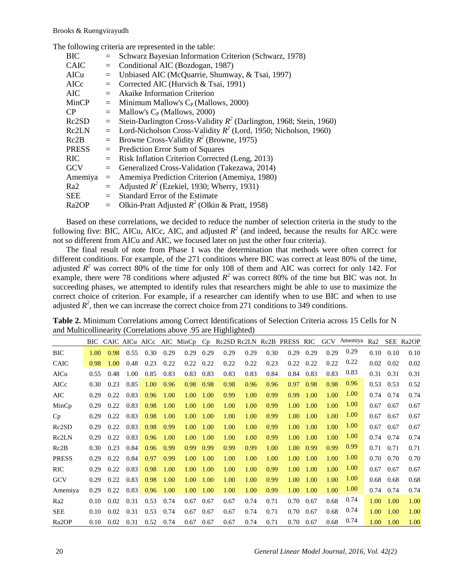The following criteria are represented in the table:

| BIC                | $=$ | Schwarz Bayesian Information Criterion (Schwarz, 1978)                |
|--------------------|-----|-----------------------------------------------------------------------|
| <b>CAIC</b>        | $=$ | Conditional AIC (Bozdogan, 1987)                                      |
| AICu               | $=$ | Unbiased AIC (McQuarrie, Shumway, & Tsai, 1997)                       |
| AICc               | $=$ | Corrected AIC (Hurvich & Tsai, 1991)                                  |
| <b>AIC</b>         | $=$ | <b>Akaike Information Criterion</b>                                   |
| MinCP              | $=$ | Minimum Mallow's $C_P$ (Mallows, 2000)                                |
| CP                 | $=$ | Mallow's $C_P$ (Mallows, 2000)                                        |
| Rc2SD              | $=$ | Stein-Darlington Cross-Validity $R^2$ (Darlington, 1968; Stein, 1960) |
| Rc2LN              | $=$ | Lord-Nicholson Cross-Validity $R^2$ (Lord, 1950; Nicholson, 1960)     |
| Rc2B               | $=$ | Browne Cross-Validity $R^2$ (Browne, 1975)                            |
| <b>PRESS</b>       | $=$ | Prediction Error Sum of Squares                                       |
| <b>RIC</b>         | $=$ | Risk Inflation Criterion Corrected (Leng, 2013)                       |
| <b>GCV</b>         | $=$ | Generalized Cross-Validation (Takezawa, 2014)                         |
| Amemiya            | $=$ | Amemiya Prediction Criterion (Amemiya, 1980)                          |
| Ra2                | $=$ | Adjusted $R^2$ (Ezekiel, 1930; Wherry, 1931)                          |
| <b>SEE</b>         | $=$ | Standard Error of the Estimate                                        |
| Ra <sub>2</sub> OP | $=$ | Olkin-Pratt Adjusted $R^2$ (Olkin & Pratt, 1958)                      |

Based on these correlations, we decided to reduce the number of selection criteria in the study to the following five: BIC, AICu, AICc, AIC, and adjusted  $R^2$  (and indeed, because the results for AICc were not so different from AICu and AIC, we focused later on just the other four criteria).

The final result of note from Phase 1 was the determination that methods were often correct for different conditions. For example, of the 271 conditions where BIC was correct at least 80% of the time, adjusted  $R^2$  was correct 80% of the time for only 108 of them and AIC was correct for only 142. For example, there were 78 conditions where adjusted  $R^2$  was correct 80% of the time but BIC was not. In succeeding phases, we attempted to identify rules that researchers might be able to use to maximize the correct choice of criterion. For example, if a researcher can identify when to use BIC and when to use adjusted  $R^2$ , then we can increase the correct choice from 271 conditions to 349 conditions.

|                    | BIC. |      | CAIC AICu AICc |      |      | AIC MinCp | $C_{D}$ |      |      |      | Re2SD Re2LN Re2B PRESS RIC |      | <b>GCV</b> | Amemiya | Ra2  |      | SEE Ra2OP |
|--------------------|------|------|----------------|------|------|-----------|---------|------|------|------|----------------------------|------|------------|---------|------|------|-----------|
| <b>BIC</b>         | 1.00 | 0.98 | 0.55           | 0.30 | 0.29 | 0.29      | 0.29    | 0.29 | 0.29 | 0.30 | 0.29                       | 0.29 | 0.29       | 0.29    | 0.10 | 0.10 | 0.10      |
| <b>CAIC</b>        | 0.98 | 1.00 | 0.48           | 0.23 | 0.22 | 0.22      | 0.22    | 0.22 | 0.22 | 0.23 | 0.22                       | 0.22 | 0.22       | 0.22    | 0.02 | 0.02 | 0.02      |
| AICu               | 0.55 | 0.48 | 1.00           | 0.85 | 0.83 | 0.83      | 0.83    | 0.83 | 0.83 | 0.84 | 0.84                       | 0.83 | 0.83       | 0.83    | 0.31 | 0.31 | 0.31      |
| AICc               | 0.30 | 0.23 | 0.85           | 1.00 | 0.96 | 0.98      | 0.98    | 0.98 | 0.96 | 0.96 | 0.97                       | 0.98 | 0.98       | 0.96    | 0.53 | 0.53 | 0.52      |
| AIC                | 0.29 | 0.22 | 0.83           | 0.96 | 1.00 | 1.00      | 1.00    | 0.99 | 1.00 | 0.99 | 0.99                       | 1.00 | 1.00       | 1.00    | 0.74 | 0.74 | 0.74      |
| MinCp              | 0.29 | 0.22 | 0.83           | 0.98 | 1.00 | 1.00      | 1.00    | 1.00 | 1.00 | 0.99 | 1.00                       | 1.00 | 1.00       | 1.00    | 0.67 | 0.67 | 0.67      |
| Cp                 | 0.29 | 0.22 | 0.83           | 0.98 | 1.00 | 1.00      | 1.00    | 1.00 | 1.00 | 0.99 | 1.00                       | 1.00 | 1.00       | 1.00    | 0.67 | 0.67 | 0.67      |
| Rc2SD              | 0.29 | 0.22 | 0.83           | 0.98 | 0.99 | 1.00      | 1.00    | 1.00 | 1.00 | 0.99 | 1.00                       | 1.00 | 1.00       | 1.00    | 0.67 | 0.67 | 0.67      |
| Rc2LN              | 0.29 | 0.22 | 0.83           | 0.96 | 1.00 | 1.00      | 1.00    | 1.00 | 1.00 | 0.99 | 1.00                       | 1.00 | 1.00       | 1.00    | 0.74 | 0.74 | 0.74      |
| Rc2B               | 0.30 | 0.23 | 0.84           | 0.96 | 0.99 | 0.99      | 0.99    | 0.99 | 0.99 | 1.00 | 1.00                       | 0.99 | 0.99       | 0.99    | 0.71 | 0.71 | 0.71      |
| <b>PRESS</b>       | 0.29 | 0.22 | 0.84           | 0.97 | 0.99 | 1.00      | 1.00    | 1.00 | 1.00 | 1.00 | 1.00                       | 1.00 | 1.00       | 1.00    | 0.70 | 0.70 | 0.70      |
| <b>RIC</b>         | 0.29 | 0.22 | 0.83           | 0.98 | 1.00 | 1.00      | 1.00    | 1.00 | 1.00 | 0.99 | 1.00                       | 1.00 | 1.00       | 1.00    | 0.67 | 0.67 | 0.67      |
| <b>GCV</b>         | 0.29 | 0.22 | 0.83           | 0.98 | 1.00 | 1.00      | 1.00    | 1.00 | 1.00 | 0.99 | 1.00                       | 1.00 | 1.00       | 1.00    | 0.68 | 0.68 | 0.68      |
| Amemiya            | 0.29 | 0.22 | 0.83           | 0.96 | 1.00 | 1.00      | 1.00    | 1.00 | 1.00 | 0.99 | 1.00                       | 1.00 | 1.00       | 1.00    | 0.74 | 0.74 | 0.74      |
| Ra2                | 0.10 | 0.02 | 0.31           | 0.53 | 0.74 | 0.67      | 0.67    | 0.67 | 0.74 | 0.71 | 0.70                       | 0.67 | 0.68       | 0.74    | 1.00 | 1.00 | 1.00      |
| <b>SEE</b>         | 0.10 | 0.02 | 0.31           | 0.53 | 0.74 | 0.67      | 0.67    | 0.67 | 0.74 | 0.71 | 0.70                       | 0.67 | 0.68       | 0.74    | 1.00 | 1.00 | 1.00      |
| Ra <sub>2</sub> OP | 0.10 | 0.02 | 0.31           | 0.52 | 0.74 | 0.67      | 0.67    | 0.67 | 0.74 | 0.71 | 0.70                       | 0.67 | 0.68       | 0.74    | 1.00 | 1.00 | 1.00      |

**Table 2.** Minimum Correlations among Correct Identifications of Selection Criteria across 15 Cells for N and Multicollinearity (Correlations above .95 are Highlighted)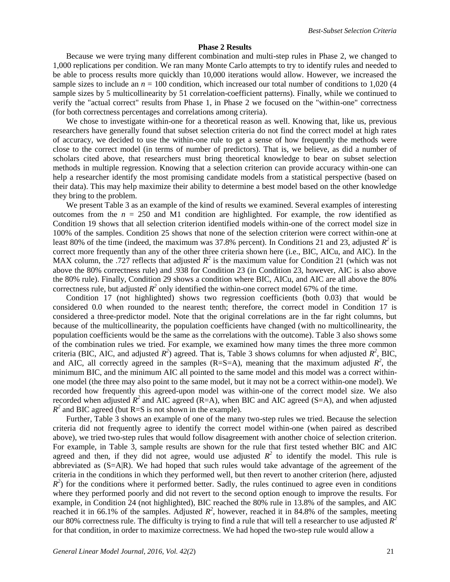#### **Phase 2 Results**

Because we were trying many different combination and multi-step rules in Phase 2, we changed to 1,000 replications per condition. We ran many Monte Carlo attempts to try to identify rules and needed to be able to process results more quickly than 10,000 iterations would allow. However, we increased the sample sizes to include an  $n = 100$  condition, which increased our total number of conditions to 1,020 (4) sample sizes by 5 multicollinearity by 51 correlation-coefficient patterns). Finally, while we continued to verify the "actual correct" results from Phase 1, in Phase 2 we focused on the "within-one" correctness (for both correctness percentages and correlations among criteria).

We chose to investigate within-one for a theoretical reason as well. Knowing that, like us, previous researchers have generally found that subset selection criteria do not find the correct model at high rates of accuracy, we decided to use the within-one rule to get a sense of how frequently the methods were close to the correct model (in terms of number of predictors). That is, we believe, as did a number of scholars cited above, that researchers must bring theoretical knowledge to bear on subset selection methods in multiple regression. Knowing that a selection criterion can provide accuracy within-one can help a researcher identify the most promising candidate models from a statistical perspective (based on their data). This may help maximize their ability to determine a best model based on the other knowledge they bring to the problem.

We present Table 3 as an example of the kind of results we examined. Several examples of interesting outcomes from the  $n = 250$  and M1 condition are highlighted. For example, the row identified as Condition 19 shows that all selection criterion identified models within-one of the correct model size in 100% of the samples. Condition 25 shows that none of the selection criterion were correct within-one at least 80% of the time (indeed, the maximum was 37.8% percent). In Conditions 21 and 23, adjusted  $R^2$  is correct more frequently than any of the other three criteria shown here (i.e., BIC, AICu, and AIC). In the MAX column, the .727 reflects that adjusted  $R^2$  is the maximum value for Condition 21 (which was not above the 80% correctness rule) and .938 for Condition 23 (in Condition 23, however, AIC is also above the 80% rule). Finally, Condition 29 shows a condition where BIC, AICu, and AIC are all above the 80% correctness rule, but adjusted  $R^2$  only identified the within-one correct model 67% of the time.

Condition 17 (not highlighted) shows two regression coefficients (both 0.03) that would be considered 0.0 when rounded to the nearest tenth; therefore, the correct model in Condition 17 is considered a three-predictor model. Note that the original correlations are in the far right columns, but because of the multicollinearity, the population coefficients have changed (with no multicollinearity, the population coefficients would be the same as the correlations with the outcome). Table 3 also shows some of the combination rules we tried. For example, we examined how many times the three more common criteria (BIC, AIC, and adjusted  $R^2$ ) agreed. That is, Table 3 shows columns for when adjusted  $R^2$ , BIC, and AIC, all correctly agreed in the samples  $(R=S=A)$ , meaning that the maximum adjusted  $R^2$ , the minimum BIC, and the minimum AIC all pointed to the same model and this model was a correct withinone model (the three may also point to the same model, but it may not be a correct within-one model). We recorded how frequently this agreed-upon model was within-one of the correct model size. We also recorded when adjusted  $R^2$  and AIC agreed (R=A), when BIC and AIC agreed (S=A), and when adjusted  $R^2$  and BIC agreed (but R=S is not shown in the example).

Further, Table 3 shows an example of one of the many two-step rules we tried. Because the selection criteria did not frequently agree to identify the correct model within-one (when paired as described above), we tried two-step rules that would follow disagreement with another choice of selection criterion. For example, in Table 3, sample results are shown for the rule that first tested whether BIC and AIC agreed and then, if they did not agree, would use adjusted  $R^2$  to identify the model. This rule is abbreviated as  $(S=A|R)$ . We had hoped that such rules would take advantage of the agreement of the criteria in the conditions in which they performed well, but then revert to another criterion (here, adjusted  $R<sup>2</sup>$ ) for the conditions where it performed better. Sadly, the rules continued to agree even in conditions where they performed poorly and did not revert to the second option enough to improve the results. For example, in Condition 24 (not highlighted), BIC reached the 80% rule in 13.8% of the samples, and AIC reached it in 66.1% of the samples. Adjusted  $R^2$ , however, reached it in 84.8% of the samples, meeting our 80% correctness rule. The difficulty is trying to find a rule that will tell a researcher to use adjusted  $R^2$ for that condition, in order to maximize correctness. We had hoped the two-step rule would allow a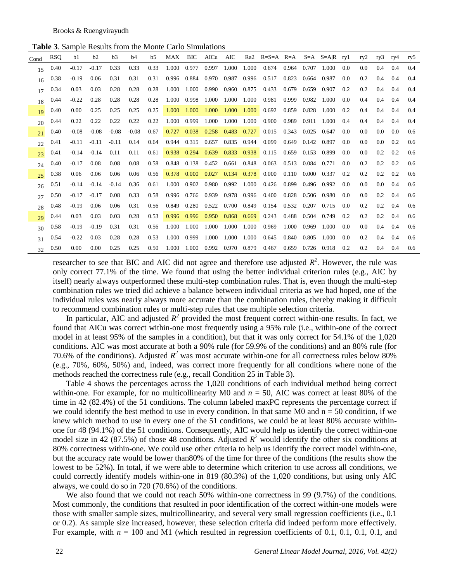**Table 3**. Sample Results from the Monte Carlo Simulations

| Cond | <b>RSQ</b> | b1      | b2      | b3      | b4      | b5   | MAX   | BIC         | AICu  | AIC         | Ra <sub>2</sub> | $R = S = A$ $R = A$ |       |       | $S=A$ $S=AR$ ryl |     | rv2 | ry3     | ry4 | ry5 |
|------|------------|---------|---------|---------|---------|------|-------|-------------|-------|-------------|-----------------|---------------------|-------|-------|------------------|-----|-----|---------|-----|-----|
| 15   | 0.40       | $-0.17$ | $-0.17$ | 0.33    | 0.33    | 0.33 | 1.000 | 0.977       | 0.997 | 1.000       | 1.000           | 0.674               | 0.964 | 0.707 | 1.000            | 0.0 | 0.0 | 0.4     | 0.4 | 0.4 |
| 16   | 0.38       | $-0.19$ | 0.06    | 0.31    | 0.31    | 0.31 |       | 0.996 0.884 | 0.970 | 0.987       | 0.996           | 0.517               | 0.823 | 0.664 | 0.987            | 0.0 | 0.2 | 0.4     | 0.4 | 0.4 |
| 17   | 0.34       | 0.03    | 0.03    | 0.28    | 0.28    | 0.28 | 1.000 | 1.000       | 0.990 | 0.960       | 0.875           | 0.433               | 0.679 | 0.659 | 0.907            | 0.2 | 0.2 | 0.4     | 0.4 | 0.4 |
| 18   | 0.44       | $-0.22$ | 0.28    | 0.28    | 0.28    | 0.28 | 1.000 | 0.998       | 1.000 | 1.000       | 1.000           | 0.981               | 0.999 | 0.982 | 1.000            | 0.0 | 0.4 | 0.4     | 0.4 | 0.4 |
| 19   | 0.40       | 0.00    | 0.25    | 0.25    | 0.25    | 0.25 | 1.000 | 1.000       | 1.000 | 1.000       | 1.000           | 0.692               | 0.859 | 0.828 | 1.000            | 0.2 | 0.4 | 0.4     | 0.4 | 0.4 |
| 20   | 0.44       | 0.22    | 0.22    | 0.22    | 0.22    | 0.22 | 1.000 | 0.999       | 1.000 | 1.000       | 1.000           | 0.900               | 0.989 | 0.911 | 1.000            | 0.4 | 0.4 | 0.4     | 0.4 | 0.4 |
| 21   | 0.40       | $-0.08$ | $-0.08$ | $-0.08$ | $-0.08$ | 0.67 | 0.727 | 0.038       | 0.258 | 0.483       | 0.727           | 0.015               | 0.343 | 0.025 | 0.647            | 0.0 | 0.0 | 0.0     | 0.0 | 0.6 |
| 22   | 0.41       | $-0.11$ | $-0.11$ | $-0.11$ | 0.14    | 0.64 | 0.944 | 0.315       | 0.657 | 0.835       | 0.944           | 0.099               | 0.649 | 0.142 | 0.897            | 0.0 | 0.0 | 0.0     | 0.2 | 0.6 |
| 23   | 0.41       | $-0.14$ | $-0.14$ | 0.11    | 0.11    | 0.61 | 0.938 | 0.294       | 0.639 | 0.833       | 0.938           | 0.115               | 0.659 | 0.153 | 0.899            | 0.0 | 0.0 | 0.2     | 0.2 | 0.6 |
| 24   | 0.40       | $-0.17$ | 0.08    | 0.08    | 0.08    | 0.58 | 0.848 | 0.138       | 0.452 | 0.661       | 0.848           | 0.063               | 0.513 | 0.084 | 0.771            | 0.0 | 0.2 | 0.2     | 0.2 | 0.6 |
| 25   | 0.38       | 0.06    | 0.06    | 0.06    | 0.06    | 0.56 | 0.378 | 0.000       | 0.027 | 0.134       | 0.378           | 0.000               | 0.110 | 0.000 | 0.337            | 0.2 | 0.2 | 0.2     | 0.2 | 0.6 |
| 26   | 0.51       | $-0.14$ | $-0.14$ | $-0.14$ | 0.36    | 0.61 | 1.000 | 0.902       | 0.980 | 0.992       | 1.000           | 0.426               | 0.899 | 0.496 | 0.992            | 0.0 | 0.0 | $0.0\,$ | 0.4 | 0.6 |
| 27   | 0.50       | $-0.17$ | $-0.17$ | 0.08    | 0.33    | 0.58 |       | 0.996 0.766 | 0.939 | 0.978 0.996 |                 | 0.400               | 0.828 | 0.506 | 0.980            | 0.0 | 0.0 | 0.2     | 0.4 | 0.6 |
| 28   | 0.48       | $-0.19$ | 0.06    | 0.06    | 0.31    | 0.56 | 0.849 | 0.280       | 0.522 | 0.700       | 0.849           | 0.154               | 0.532 | 0.207 | 0.715            | 0.0 | 0.2 | 0.2     | 0.4 | 0.6 |
| 29   | 0.44       | 0.03    | 0.03    | 0.03    | 0.28    | 0.53 | 0.996 | 0.996       | 0.950 | 0.868       | 0.669           | 0.243               | 0.488 | 0.504 | 0.749            | 0.2 | 0.2 | 0.2     | 0.4 | 0.6 |
| 30   | 0.58       | $-0.19$ | $-0.19$ | 0.31    | 0.31    | 0.56 | 1.000 | 1.000       | 1.000 | 1.000       | 1.000           | 0.969               | 1.000 | 0.969 | 1.000            | 0.0 | 0.0 | 0.4     | 0.4 | 0.6 |
| 31   | 0.54       | $-0.22$ | 0.03    | 0.28    | 0.28    | 0.53 | 1.000 | 0.999       | 1.000 | 1.000       | 1.000           | 0.645               | 0.840 | 0.805 | 1.000            | 0.0 | 0.2 | 0.4     | 0.4 | 0.6 |
| 32   | 0.50       | 0.00    | 0.00    | 0.25    | 0.25    | 0.50 | 1.000 | 1.000       | 0.992 | 0.970       | 0.879           | 0.467               | 0.659 | 0.726 | 0.918            | 0.2 | 0.2 | 0.4     | 0.4 | 0.6 |
|      |            |         |         |         |         |      |       |             |       |             |                 |                     |       |       |                  |     |     |         |     |     |

researcher to see that BIC and AIC did not agree and therefore use adjusted  $R^2$ . However, the rule was only correct 77.1% of the time. We found that using the better individual criterion rules (e.g., AIC by itself) nearly always outperformed these multi-step combination rules. That is, even though the multi-step combination rules we tried did achieve a balance between individual criteria as we had hoped, one of the individual rules was nearly always more accurate than the combination rules, thereby making it difficult to recommend combination rules or multi-step rules that use multiple selection criteria.

In particular, AIC and adjusted  $R^2$  provided the most frequent correct within-one results. In fact, we found that AICu was correct within-one most frequently using a 95% rule (i.e., within-one of the correct model in at least 95% of the samples in a condition), but that it was only correct for 54.1% of the 1,020 conditions. AIC was most accurate at both a 90% rule (for 59.9% of the conditions) and an 80% rule (for 70.6% of the conditions). Adjusted  $R^2$  was most accurate within-one for all correctness rules below 80% (e.g., 70%, 60%, 50%) and, indeed, was correct more frequently for all conditions where none of the methods reached the correctness rule (e.g., recall Condition 25 in Table 3).

Table 4 shows the percentages across the 1,020 conditions of each individual method being correct within-one. For example, for no multicollinearity M0 and  $n = 50$ , AIC was correct at least 80% of the time in 42 (82.4%) of the 51 conditions. The column labeled maxPC represents the percentage correct if we could identify the best method to use in every condition. In that same M0 and  $n = 50$  condition, if we knew which method to use in every one of the 51 conditions, we could be at least 80% accurate withinone for 48 (94.1%) of the 51 conditions. Consequently, AIC would help us identify the correct within-one model size in 42 (87.5%) of those 48 conditions. Adjusted  $R^2$  would identify the other six conditions at 80% correctness within-one. We could use other criteria to help us identify the correct model within-one, but the accuracy rate would be lower than80% of the time for three of the conditions (the results show the lowest to be 52%). In total, if we were able to determine which criterion to use across all conditions, we could correctly identify models within-one in 819 (80.3%) of the 1,020 conditions, but using only AIC always, we could do so in 720 (70.6%) of the conditions.

We also found that we could not reach 50% within-one correctness in 99 (9.7%) of the conditions. Most commonly, the conditions that resulted in poor identification of the correct within-one models were those with smaller sample sizes, multicollinearity, and several very small regression coefficients (i.e., 0.1 or 0.2). As sample size increased, however, these selection criteria did indeed perform more effectively. For example, with  $n = 100$  and M1 (which resulted in regression coefficients of 0.1, 0.1, 0.1, 0.1, and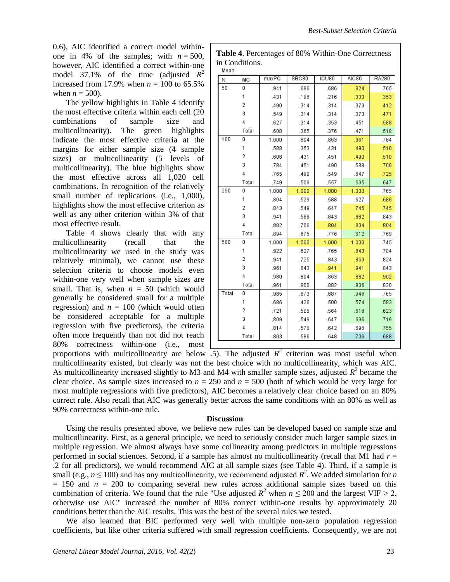0.6), AIC identified a correct model withinone in 4% of the samples; with  $n = 500$ , however, AIC identified a correct within-one model 37.1% of the time (adjusted  $R^2$ increased from 17.9% when  $n = 100$  to 65.5% when  $n = 500$ ).

The yellow highlights in Table 4 identify the most effective criteria within each cell (20 combinations of sample size and multicollinearity). The green highlights indicate the most effective criteria at the margins for either sample size (4 sample sizes) or multicollinearity (5 levels of multicollinearity). The blue highlights show the most effective across all 1,020 cell combinations. In recognition of the relatively small number of replications (i.e., 1,000), highlights show the most effective criterion as well as any other criterion within 3% of that most effective result.

Table 4 shows clearly that with any multicollinearity (recall that the multicollinearity we used in the study was relatively minimal), we cannot use these selection criteria to choose models even within-one very well when sample sizes are small. That is, when  $n = 50$  (which would generally be considered small for a multiple regression) and  $n = 100$  (which would often be considered acceptable for a multiple regression with five predictors), the criteria often more frequently than not did not reach 80% correctness within-one (i.e., most

| N     | MC             | maxPC | SBC80 | ICU80 | AIC80 | RA280 |
|-------|----------------|-------|-------|-------|-------|-------|
| 50    | 0              | .941  | .686  | .686  | .824  | .765  |
|       | 1              | .431  | .196  | .216  | .333  | .353  |
|       | $\overline{2}$ | .490  | .314  | .314  | .373  | .412  |
|       | 3              | .549  | .314  | .314  | .373  | .471  |
|       | 4              | .627  | .314  | .353  | .451  | .588  |
|       | Total          | .608  | .365  | .376  | .471  | .518  |
| 100   | 0              | 1.000 | .804  | .863  | .961  | .784  |
|       | 1              | .588  | .353  | .431  | .490  | .510  |
|       | $\overline{2}$ | .608  | .431  | .451  | .490  | .510  |
|       | 3              | .784  | .451  | .490  | .588  | .706  |
|       | 4              | .765  | .490  | .549  | .647  | .725  |
|       | Total          | .749  | .506  | .557  | .635  | .647  |
| 250   | 0              | 1.000 | 1.000 | 1.000 | 1.000 | .765  |
|       | 1              | .804  | .529  | .588  | .627  | .686  |
|       | $\overline{2}$ | .843  | .549  | .647  | .745  | .745  |
|       | 3              | .941  | .588  | .843  | .882  | .843  |
|       | 4              | .882  | .706  | .804  | .804  | .804  |
|       | Total          | .894  | .675  | .776  | .812  | .769  |
| 500   | 0              | 1.000 | 1.000 | 1.000 | 1.000 | .745  |
|       | 1              | .922  | .627  | .765  | .843  | .784  |
|       | $\overline{2}$ | .941  | .725  | .843  | .863  | .824  |
|       | 3              | .961  | .843  | .941  | .941  | .843  |
|       | 4              | .980  | .804  | .863  | .882  | .902  |
|       | Total          | .961  | .800  | .882  | .906  | .820  |
| Total | 0              | .985  | .873  | .887  | .946  | .765  |
|       | 1              | .686  | .426  | .500  | .574  | .583  |
|       | 2              | .721  | .505  | .564  | .618  | .623  |
|       | 3              | .809  | .549  | .647  | .696  | .716  |
|       | 4              | .814  | .578  | .642  | .696  | .755  |
|       | Total          | .803  | .586  | .648  | .706  | .688  |

**Table 4**. Percentages of 80% Within-One Correctness

in Conditions.

proportions with multicollinearity are below  $\overline{.5}$ . The adjusted  $R^2$  criterion was most useful when multicollinearity existed, but clearly was not the best choice with no multicollinearity, which was AIC. As multicollinearity increased slightly to M3 and M4 with smaller sample sizes, adjusted  $R^2$  became the clear choice. As sample sizes increased to  $n = 250$  and  $n = 500$  (both of which would be very large for most multiple regressions with five predictors), AIC becomes a relatively clear choice based on an 80% correct rule. Also recall that AIC was generally better across the same conditions with an 80% as well as 90% correctness within-one rule.

#### **Discussion**

Using the results presented above, we believe new rules can be developed based on sample size and multicollinearity. First, as a general principle, we need to seriously consider much larger sample sizes in multiple regression. We almost always have some collinearity among predictors in multiple regressions performed in social sciences. Second, if a sample has almost no multicollinearity (recall that M1 had *r* = .2 for all predictors), we would recommend AIC at all sample sizes (see Table 4). Third, if a sample is small (e.g.,  $n \le 100$ ) and has any multicollinearity, we recommend adjusted  $R^2$ . We added simulation for *n*  $= 150$  and  $n = 200$  to comparing several new rules across additional sample sizes based on this combination of criteria. We found that the rule "Use adjusted  $R^2$  when  $n \le 200$  and the largest VIF > 2, otherwise use AIC" increased the number of 80% correct within-one results by approximately 20 conditions better than the AIC results. This was the best of the several rules we tested.

We also learned that BIC performed very well with multiple non-zero population regression coefficients, but like other criteria suffered with small regression coefficients. Consequently, we are not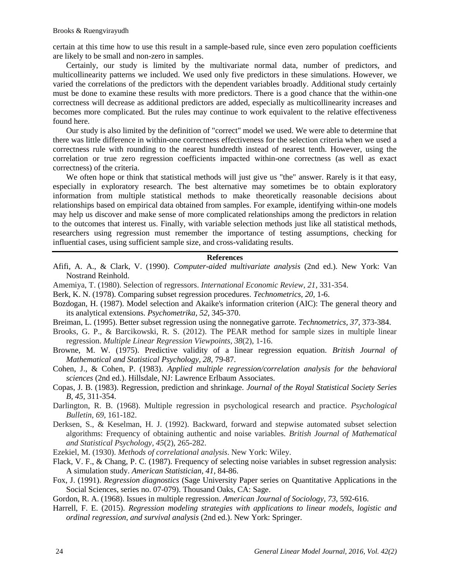certain at this time how to use this result in a sample-based rule, since even zero population coefficients are likely to be small and non-zero in samples.

Certainly, our study is limited by the multivariate normal data, number of predictors, and multicollinearity patterns we included. We used only five predictors in these simulations. However, we varied the correlations of the predictors with the dependent variables broadly. Additional study certainly must be done to examine these results with more predictors. There is a good chance that the within-one correctness will decrease as additional predictors are added, especially as multicollinearity increases and becomes more complicated. But the rules may continue to work equivalent to the relative effectiveness found here.

Our study is also limited by the definition of "correct" model we used. We were able to determine that there was little difference in within-one correctness effectiveness for the selection criteria when we used a correctness rule with rounding to the nearest hundredth instead of nearest tenth. However, using the correlation or true zero regression coefficients impacted within-one correctness (as well as exact correctness) of the criteria.

We often hope or think that statistical methods will just give us "the" answer. Rarely is it that easy, especially in exploratory research. The best alternative may sometimes be to obtain exploratory information from multiple statistical methods to make theoretically reasonable decisions about relationships based on empirical data obtained from samples. For example, identifying within-one models may help us discover and make sense of more complicated relationships among the predictors in relation to the outcomes that interest us. Finally, with variable selection methods just like all statistical methods, researchers using regression must remember the importance of testing assumptions, checking for influential cases, using sufficient sample size, and cross-validating results.

#### **References**

- Afifi, A. A., & Clark, V. (1990). *Computer-aided multivariate analysis* (2nd ed.). New York: Van Nostrand Reinhold.
- Amemiya, T. (1980). Selection of regressors. *International Economic Review, 21*, 331-354.
- Berk, K. N. (1978). Comparing subset regression procedures. *Technometrics, 20,* 1-6.
- Bozdogan, H. (1987). Model selection and Akaike's information criterion (AIC): The general theory and its analytical extensions. *Psychometrika, 52*, 345-370.
- Breiman, L. (1995). Better subset regression using the nonnegative garrote. *Technometrics, 37,* 373-384.
- Brooks, G. P., & Barcikowski, R. S. (2012). The PEAR method for sample sizes in multiple linear regression. *Multiple Linear Regression Viewpoints, 38*(2), 1-16.
- Browne, M. W. (1975). Predictive validity of a linear regression equation. *British Journal of Mathematical and Statistical Psychology, 28*, 79-87.
- Cohen, J., & Cohen, P. (1983). *Applied multiple regression/correlation analysis for the behavioral sciences* (2nd ed.). Hillsdale, NJ: Lawrence Erlbaum Associates.
- Copas, J. B. (1983). Regression, prediction and shrinkage. *Journal of the Royal Statistical Society Series B, 45,* 311-354.
- Darlington, R. B. (1968). Multiple regression in psychological research and practice. *Psychological Bulletin, 69*, 161-182.
- Derksen, S., & Keselman, H. J. (1992). Backward, forward and stepwise automated subset selection algorithms: Frequency of obtaining authentic and noise variables. *British Journal of Mathematical and Statistical Psychology, 45*(2), 265-282.
- Ezekiel, M. (1930). *Methods of correlational analysis*. New York: Wiley.
- Flack, V. F., & Chang, P. C. (1987). Frequency of selecting noise variables in subset regression analysis: A simulation study. *American Statistician, 41,* 84-86.
- Fox, J. (1991). *Regression diagnostics* (Sage University Paper series on Quantitative Applications in the Social Sciences, series no. 07-079). Thousand Oaks, CA: Sage.
- Gordon, R. A. (1968). Issues in multiple regression. *American Journal of Sociology, 73,* 592-616.
- Harrell, F. E. (2015). *Regression modeling strategies with applications to linear models, logistic and ordinal regression, and survival analysis* (2nd ed.). New York: Springer.